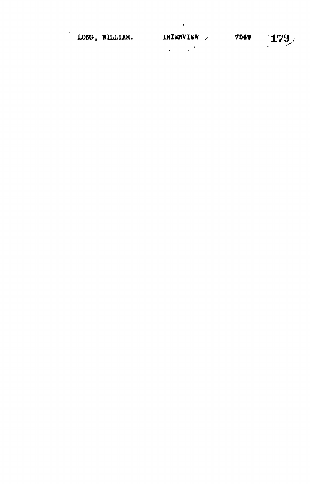| LONG, WILLIAM. | INTERVIEW | 7549 | 179 |
|----------------|-----------|------|-----|
|                |           |      |     |

 $\mathcal{L}^{\text{max}}(\mathbf{G})$  . The  $\mathcal{L}^{\text{max}}(\mathbf{G})$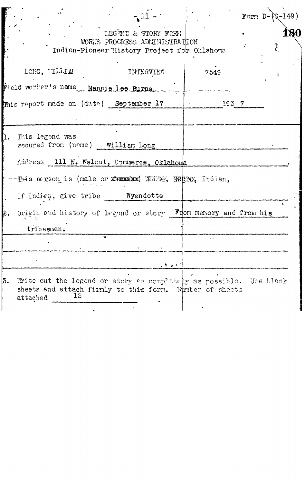|     |                                                                                                                                                                                                    |        |       | Form D |   | $\overline{1}49$ ) |
|-----|----------------------------------------------------------------------------------------------------------------------------------------------------------------------------------------------------|--------|-------|--------|---|--------------------|
|     | LEGEND & STORY FORM<br>WORKS PROCRESS ADMINISTRATION<br>Indian-Pioneer History Project for Oklahoma                                                                                                |        |       |        | 竁 | L80                |
|     | LONG, "ILLIAM<br><b>INTERVIEW</b><br>Field worker's name Nannie Lee Burns                                                                                                                          |        | 7549  |        |   |                    |
|     | This report made on (date) September 17                                                                                                                                                            |        | 193 7 |        |   |                    |
|     | This legend was<br>secured from (name) William Long<br>Address 111 N. Walnut, Commerce, Oklahoma<br>This ocrson is (male or xemedox) White, Negro, Indian,<br>If Indien, give tribe ____ Wyendotte |        |       |        |   |                    |
| 12. | Origin and history of legend or story From memory and from his<br>tribesmen.                                                                                                                       |        |       |        |   |                    |
| 3.  | Write out the legend or story as complately as possible. Use blank<br>sheets and attach firmly to this form. Funter of sheets<br>attached $12$<br>attached                                         | ا جائی |       |        |   |                    |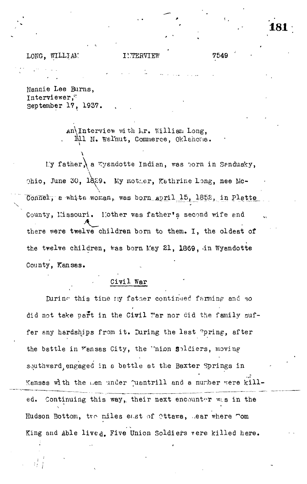### LONG, WILLIAM

7549

Nannie Lee Burns, Interviewer, September 17, 1937.

> An Interview with Mr. William Long, Mll N. Welnut, Commerce, Oklahoma.

My father, a Wysndotte Indian, was born in Sendusky, Ohio, June 30, 1889. My mother, Kathrine Long, nee Mc-Connel, a white woman, was born april 15, 1852, in Platte County, Missouri. Hother was father's second wife and there were twelve children born to them. I, the oldest of the twelve children, was born May 21, 1869, in Wyandotte County, Kansas.

# Civil War

During this time my father continued farming and so did not take part in the Ciwil War nor did the family suffer any hardships from it. During the last pring, after the battle in Vansas City, the 'nion soldiers, moving southward engaged in a bettle at the Baxter Springs in Kansas with the men under juantrill and a number were kill-Continuing this way, their next encounter was in the ed. Hudson Bottom, tro miles east of Ottawa, Lear where mom King and Able lived. Five Union Soldiers vere killed here.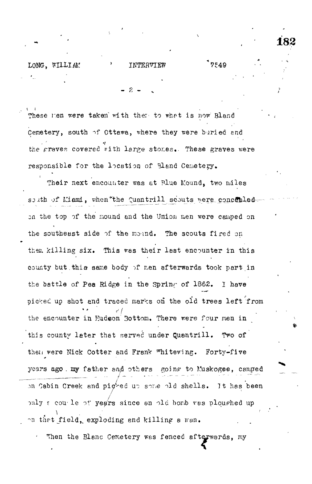# LONG. WILLIAM TNTERVIEW 7549

These men were taken with them to what is now Bland Cemetery, south of Ottawa, where they were buried and the graves covered with large stones. These graves were responsible for the location of Bland Cemetery.

Their next encounter was at Rlue Mound, two miles south of Miami, when the Quantrill scouts were concealed on the top of the mound and the Union men were camped on the southeast side of the mound. The scouts fired on them killing six. This was their last encounter in this county but this same body of men efterwards took part in the battle of Pea Ridge in the Spring of 1862. I have picked up shot and traced marks on the old trees left from the encounter in Hudson Bottom. There were four men in this county leter that served under Quantrill. Two of then were Nick Cotter and Frank "hitewing. Forty-five years ago . my father and others going to Muskogee, camped on Cabin Creek and pighed up some old shells. It has been only a couple of years since an old bomb was ploughed up on that field, exploding and killing a man.

Then the Blanc Cemetery was fenced afterwards, my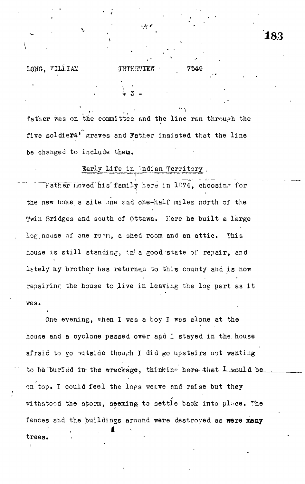# **18. 3**

### LONG, "ILLIAM INTERVIEW \* 7549

**•\*>**

 $\div$  3 –

father wes on the committee and the line ran through the five soldiers<sup>\*</sup> graves and Father insisted that the line be changed to include them.

### Sarly Life in Indian Territory ,

Father moved his family here in 1874, choosing for i i stanovni stanovni stanovni stanovni stanovni stanovni stanovni stanovni stanovni stanovni stanovni stanovn the new home a site one and one-half miles north of the Twin Bridges and south of Ottawa. Here he built a large log house of one robin, a shed room and an attic. This house is still standing, in' a good state of repair, and lately my brother has returned to this county and is now repairing the house to live in leaving the log part as it was.

One evening, when I was a boy I was alone at the house and a cyclone passed over and I stayed in the. house afraid to go putside though I did go upstairs not wanting to be buried in the wreckage, thinkine here that  $L$  would be on top. I could feel the logs weave end raise but they withstood the storm, seeming to settle back into place. The fences and the buildings around were destroyed as **were many** trees.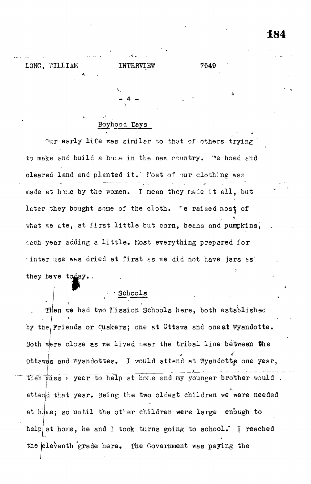## LONG, WILLIAM INTERVIEW 7549

## Boyhood Days

 $-4 -$ 

V

Our early life was similar to that of others trying to make and build a home in the new country. We hoed and cleared land and plented it. 'fost of our clothing was made at home by the women. I mean they made it all, but later they bought some of the cloth. Te raised most of what we ate, at first little but corn, beans and pumpkins, ach year adding a little. Most everything prepared for •inter use was dried at first ss v/e did not have jars *ts'* they have today. **P**

### Schools

;

Then we had two Hission Schools here, both established by the Friends or Quakers; one at Ottawa and oneat Wyandotte. Both were close as we lived near the tribal line between the Ottewas and Wyandottes. I would attend at Wyandotte one year, then miss *+* year to help at hore and my younger brother would. attend that year. Being the two oldest children we were needed at home; so until the other children were large enough to help at hone, he and I took turns going to school. I reached the eleventh grade here. The Government was paying the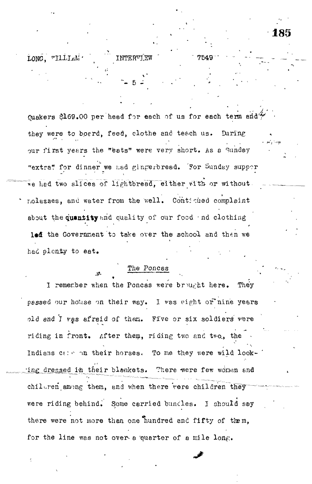$LONG$ , "ILLLAM $\cdot$  " INTERVIEW " 7549

quakers \$169.00 per head for each of us for each term and" they were to boerd, feed, clothe and teach us. During our first years the "eats" were very short. As a Sunday "extra" for dinner we had gingerbread. For Sunday supper  $\bar{v}$ e hed two slices of lightbread, either vIth or without. nolasses, and water from the well. Continued complaint about the quantity and quality of our food end clothing led the Government to take over the school and then we had plenty to eat.

**-- 5 -**

### The Poncas

I remember when the Poncas were brought here. They passed our house on their way. I was eight or nine years old end I vas afraid of them. Five or six soldiers were riding in front. After them, riding two and two, the Indians  $c \mapsto \infty$  their horses. To me they were wild look-'ing dressed in their blankets. There were few wonen and children among them, and when there vere children they were riding behind. Some carried buncles. I should say there were not more than one hundred and fifty of them, for the line was not over-a quarter of a mile long.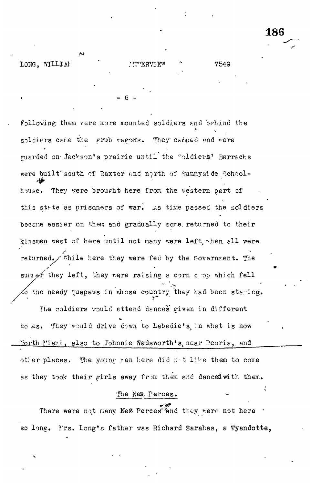بمناقب LONG, WILLIAN שים דדום מייירה י

Following them vere more mounted soldiers and behind the soldiers calle the grub regons. They camped and were guarded on Jackson's prairie until the Soldiers' Barracks were built south of Baxter and north of Sunnyside Schoolhouse. They were brought here from the western part of this state as prisoners of war. As time passed the soldiers became easier on them and gradually some returned to their kinsmen west of here until not many were left, then all were returned. Fhile here they were fed by the Government. The sum of they left, they were reising a corn c op which fell to the needy Quapaws in whose country they had been staying.

F.

186

7549

The soldiers would attend dences given in different ho es. They would drive down to Labadie's in what is now Morth Miami, also to Johnnie Wadsworth's near Peoria, and other places. The young ren here did not like them to come as they took their girls away from them and danced with them.

### The Nex. Perces.

There were not many Nez Perces and they were not here so long. I'rs. Long's father was Richard Sarahas, a Wyandotte,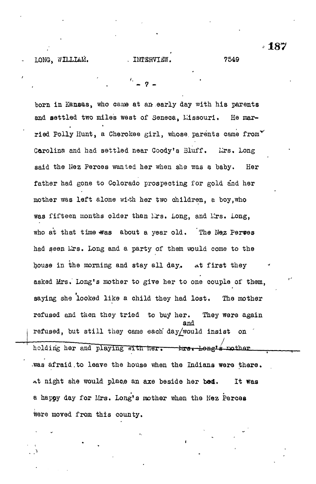born in Kansas, who came at an early day with his parents and settled two miles west of Seneca, Missouri. He married Polly Hunt, a Cherokee girl, whose parents came from  $\check{ }$ Carolina and had settled near Coody's Bluff. Lirs, Long said the Nez Perces wanted her when she was a baby. Her father had gone to Colorado prospecting for gold and her mother was left alone wi-th her two children, a boy,who was fifteen months older than Lrs. Long, and Lrs. Long, who at that time was about a year old. The Nez Perses had seen Lrs. Long and a party of them would come to the house in the morning and stay all day. at first they asked Mrs. Long's mother to give her to one couple of them, saying she looked like a child they had lost. The mother refused and then they tried to buy her. They were again and refused, but still they came each day $\sqrt{$ would insist on holding her and playing with her. three Lengts mother .was afraid,to leave the house when the Indians were there. At night she would place an axe beside her be4. It was a happy day for Mrs. Long\*s mother when the Hez Percea

were moved from this county.

' 187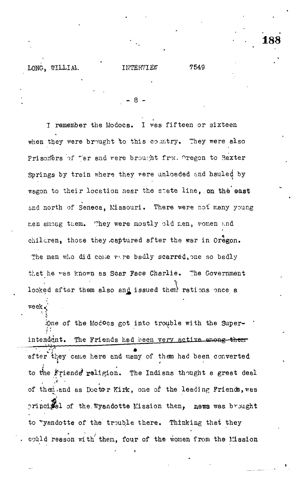7549

I remember the Modocs. I was fifteen or sixteen when they were brought to this country. They were also Prisoners of "er and vere brought from Oregon to Baxter Springs by train where they were unloaded and hauled by wagon to their location near the state line, on the east and north of Seneca, Missouri. There were not many young men among them. They were mostly old men, women and children, those they captured after the war in Oregon. The men who did come vare badly scarred, one so badly that he was known as Scar Face Charlie. The Government looked after them also and issued them rations once a ÷ Xee

ione of the Modoes got into trouble with the Superintendent. The Friends had been very active among them after they came here and many of them had been converted to the Friends religion. The Indians thought a great deal of them end as Doctor Kirk, one of the leading Friends, was princidel of the Wyandotte Mission then, news was brought to "yandotte of the trouble there. Thinking that they could reason with them, four of the women from the Mission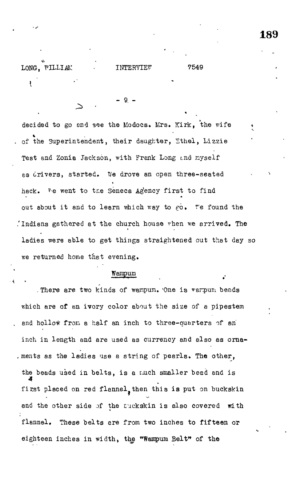LONG, WILLIAM INTERVIEW 7549 ŧ

9.

decided to go and see the Modocs. Mrs. Kirk, the wife of the Superintendent, their daughter, Ethel, Lizzie Test and Zonia Jackson, with Frank Long and myself as drivers, started. We drove an open three-seated hack. We went to the Seneca Agency first to find out about it and to learn which way to  $\epsilon$ o. Te found the Indians gathered at the church house when we arrived. The ladies were able to get things straightened out that day so we returned home that evening.

### Wampum

. There are two kinds of wampum. One is warpum beads which are of an ivory color about the size of a pipestem and hollow from a half an inch to three-quarters of an inch in length and are used as currency and also as orna-, ments as the ladies use a string of pearls. The other, the beads used in belts, is a much smaller bead and is first placed on red flannel, then this is put on buckskin and the other side of the tuckskin is also covered  $m$ th flannel. These belts are from two inches to fifteen or eighteen inches in width, the "Wampum Belt" of the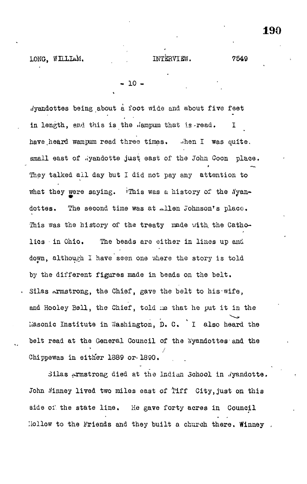LONG, WILLIAM. 1NTERVIEW. 7549

- 10 -

dyandottes being about a foot wide and about five feet in length, and this is the .'ampum that is-read. I have heard wampum read three times. ..hen I was quite, small east of .iyandotte just east of the John Goon place. They talked all day but I did not pay any attention to what they were saying. This was a history of the Nyandottes. The second time was at allen Johnson's place. This was the history of the treaty made with the Catholics in Ohio. The beads are either in lines up and down, although I have seen one where the story is told by the different figures made in beads on the belt. Silas  $\alpha$ rmstrong, the Chief, gave the belt to his-wife, and Hooley Bell, the Chief, told me that he put it in the Liasonic Institute in 'Washington, D. C. I also heard the belt read at the General Council of the Wyandottes and the Chippewas in either 1889 or. 1890.

Silas Armstrong died at the Indian School in Wyandotte. John Minney lived two miles east of Tiff City, just on this side of the state line. He gave forty acres in Council Hollow to the Friends and they built a church there. Winney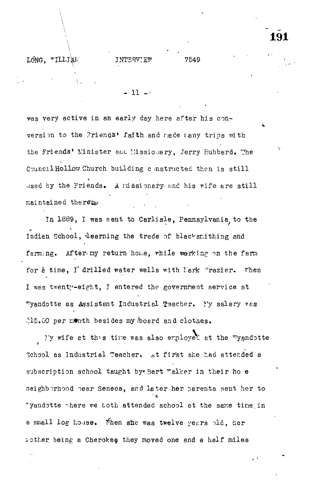### LONG. "ILLIAM

7549

 $11 - c$ 

was very active in an early day here after his conversion to the Priends' faith and made nany trips with the Friends' Minister and Missionary, Jerry Hubbard. The Council Hollow Church building constructed then is still used by the Friends. A missionary and his wife are still maintained therexp

In 1889, I was sent to Carlisle, Pennsylvania to the Indien School, learning the trade of blacksmithing and farming. After my return home, while working on the farm for å time, I drilled water wells with Mark Prazier. When I was twenty-eight, I entered the government service at "yandotte as Assistant Industrial Teacher. I'y salary wes \$15.00 per menth besides my board and clothes.

My wife et thus time was also employed at the wyandotte 3chool as Industrial Teacher. At first she had attended a subscription school taught by Bert Welker in their ho e neighborhood mear Seneca, and later her parents sent her to "yandstte "here we both attended school at the same time in a small log house. When she was twelve years pld, her bother being a Cherokee they moved one and a half miles